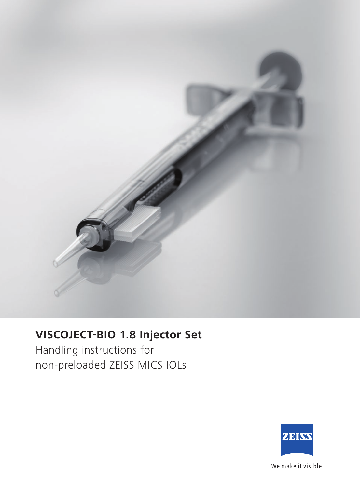

## **VISCOJECT-BIO 1.8 Injector Set**

Handling instructions for non-preloaded ZEISS MICS IOLs



We make it visible.